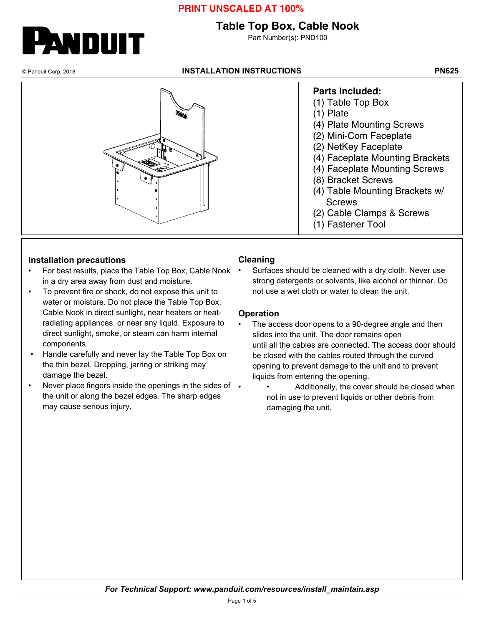## **Table Top Box, Cable Nook**

Part Number(s): PND100

WDUIT

#### © Panduit Corp. 2018 **INSTALLATION INSTRUCTIONS PN625**



#### **Installation precautions**

- For best results, place the Table Top Box, Cable Nook in a dry area away from dust and moisture.
- To prevent fire or shock, do not expose this unit to water or moisture. Do not place the Table Top Box, Cable Nook in direct sunlight, near heaters or heatradiating appliances, or near any liquid. Exposure to direct sunlight, smoke, or steam can harm internal components.
- Handle carefully and never lay the Table Top Box on the thin bezel. Dropping, jarring or striking may damage the bezel.
- Never place fingers inside the openings in the sides of the unit or along the bezel edges. The sharp edges may cause serious injury.

#### **Cleaning**

Surfaces should be cleaned with a dry cloth. Never use strong detergents or solvents, like alcohol or thinner. Do not use a wet cloth or water to clean the unit.

#### **Operation**

- The access door opens to a 90-degree angle and then slides into the unit. The door remains open until all the cables are connected. The access door should be closed with the cables routed through the curved opening to prevent damage to the unit and to prevent liquids from entering the opening.
	- Additionally, the cover should be closed when not in use to prevent liquids or other debris from damaging the unit.

*For Technical Support: www.panduit.com/resources/install\_maintain.asp*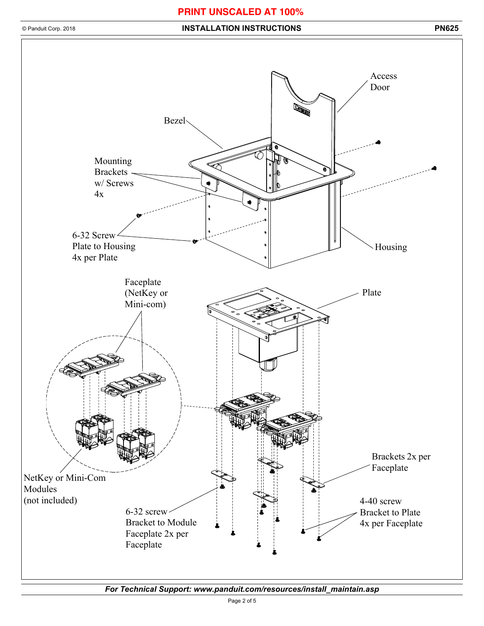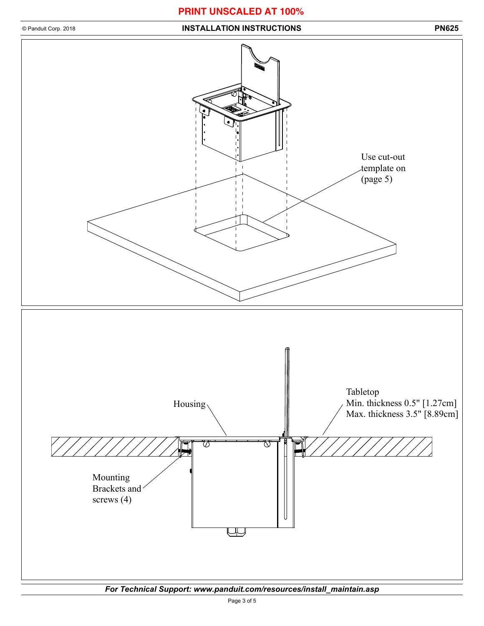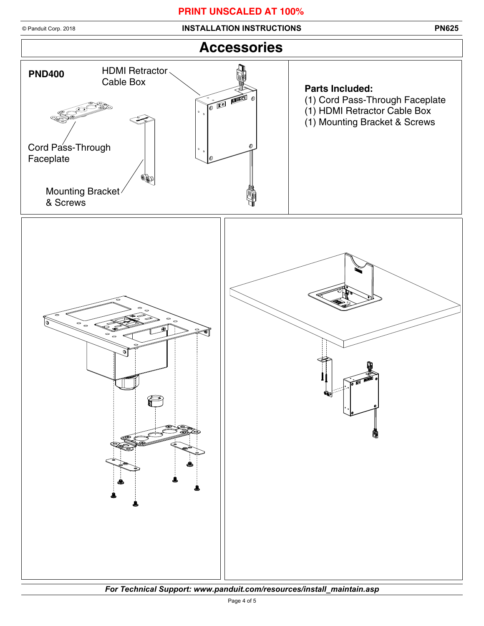© Panduit Corp. 2018 **INSTALLATION INSTRUCTIONS PN625**



*For Technical Support: www.panduit.com/resources/install\_maintain.asp*